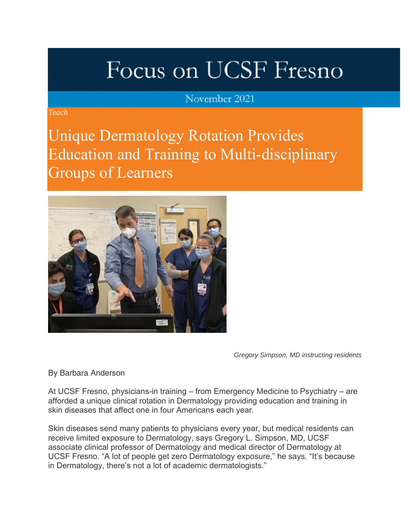# Focus on UCSF Fresno

### November 2021

*Teach*

Unique Dermatology Rotation Provides Education and Training to Multi-disciplinary Groups of Learners



*Gregory Simpson, MD instructing residents*

By Barbara Anderson

At UCSF Fresno, physicians-in training – from Emergency Medicine to Psychiatry – are afforded a unique clinical rotation in Dermatology providing education and training in skin diseases that affect one in four Americans each year.

Skin diseases send many patients to physicians every year, but medical residents can receive limited exposure to Dermatology, says Gregory L. Simpson, MD, UCSF associate clinical professor of Dermatology and medical director of Dermatology at UCSF Fresno. "A lot of people get zero Dermatology exposure," he says. "It's because in Dermatology, there's not a lot of academic dermatologists."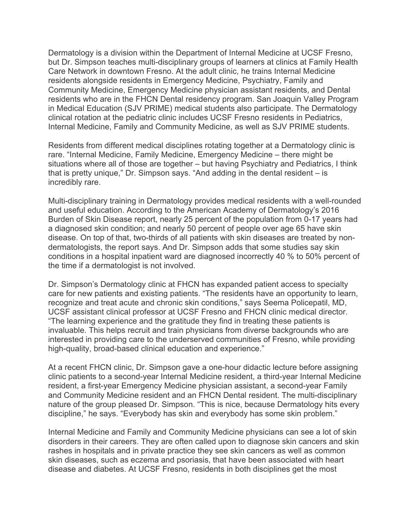Dermatology is a division within the Department of Internal Medicine at UCSF Fresno, but Dr. Simpson teaches multi-disciplinary groups of learners at clinics at Family Health Care Network in downtown Fresno. At the adult clinic, he trains Internal Medicine residents alongside residents in Emergency Medicine, Psychiatry, Family and Community Medicine, Emergency Medicine physician assistant residents, and Dental residents who are in the FHCN Dental residency program. San Joaquin Valley Program in Medical Education (SJV PRIME) medical students also participate. The Dermatology clinical rotation at the pediatric clinic includes UCSF Fresno residents in Pediatrics, Internal Medicine, Family and Community Medicine, as well as SJV PRIME students.

Residents from different medical disciplines rotating together at a Dermatology clinic is rare. "Internal Medicine, Family Medicine, Emergency Medicine – there might be situations where all of those are together – but having Psychiatry and Pediatrics, I think that is pretty unique," Dr. Simpson says. "And adding in the dental resident – is incredibly rare.

Multi-disciplinary training in Dermatology provides medical residents with a well-rounded and useful education. According to the American Academy of Dermatology's 2016 Burden of Skin Disease report, nearly 25 percent of the population from 0-17 years had a diagnosed skin condition; and nearly 50 percent of people over age 65 have skin disease. On top of that, two-thirds of all patients with skin diseases are treated by nondermatologists, the report says. And Dr. Simpson adds that some studies say skin conditions in a hospital inpatient ward are diagnosed incorrectly 40 % to 50% percent of the time if a dermatologist is not involved.

Dr. Simpson's Dermatology clinic at FHCN has expanded patient access to specialty care for new patients and existing patients. "The residents have an opportunity to learn, recognize and treat acute and chronic skin conditions," says Seema Policepatil, MD, UCSF assistant clinical professor at UCSF Fresno and FHCN clinic medical director. "The learning experience and the gratitude they find in treating these patients is invaluable. This helps recruit and train physicians from diverse backgrounds who are interested in providing care to the underserved communities of Fresno, while providing high-quality, broad-based clinical education and experience."

At a recent FHCN clinic, Dr. Simpson gave a one-hour didactic lecture before assigning clinic patients to a second-year Internal Medicine resident, a third-year Internal Medicine resident, a first-year Emergency Medicine physician assistant, a second-year Family and Community Medicine resident and an FHCN Dental resident. The multi-disciplinary nature of the group pleased Dr. Simpson. "This is nice, because Dermatology hits every discipline," he says. "Everybody has skin and everybody has some skin problem."

Internal Medicine and Family and Community Medicine physicians can see a lot of skin disorders in their careers. They are often called upon to diagnose skin cancers and skin rashes in hospitals and in private practice they see skin cancers as well as common skin diseases, such as eczema and psoriasis, that have been associated with heart disease and diabetes. At UCSF Fresno, residents in both disciplines get the most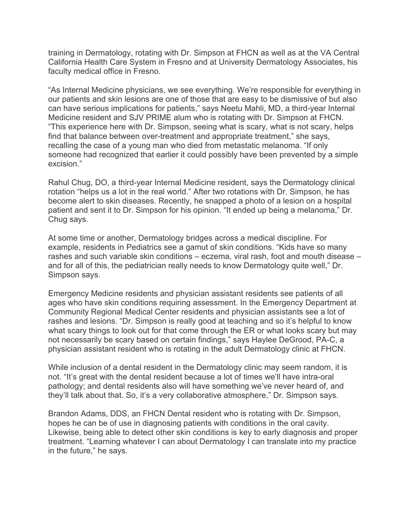training in Dermatology, rotating with Dr. Simpson at FHCN as well as at the VA Central California Health Care System in Fresno and at University Dermatology Associates, his faculty medical office in Fresno.

"As Internal Medicine physicians, we see everything. We're responsible for everything in our patients and skin lesions are one of those that are easy to be dismissive of but also can have serious implications for patients," says Neetu Mahli, MD, a third-year Internal Medicine resident and SJV PRIME alum who is rotating with Dr. Simpson at FHCN. "This experience here with Dr. Simpson, seeing what is scary, what is not scary, helps find that balance between over-treatment and appropriate treatment," she says, recalling the case of a young man who died from metastatic melanoma. "If only someone had recognized that earlier it could possibly have been prevented by a simple excision."

Rahul Chug, DO, a third-year Internal Medicine resident, says the Dermatology clinical rotation "helps us a lot in the real world." After two rotations with Dr. Simpson, he has become alert to skin diseases. Recently, he snapped a photo of a lesion on a hospital patient and sent it to Dr. Simpson for his opinion. "It ended up being a melanoma," Dr. Chug says.

At some time or another, Dermatology bridges across a medical discipline. For example, residents in Pediatrics see a gamut of skin conditions. "Kids have so many rashes and such variable skin conditions – eczema, viral rash, foot and mouth disease – and for all of this, the pediatrician really needs to know Dermatology quite well," Dr. Simpson says.

Emergency Medicine residents and physician assistant residents see patients of all ages who have skin conditions requiring assessment. In the Emergency Department at Community Regional Medical Center residents and physician assistants see a lot of rashes and lesions. "Dr. Simpson is really good at teaching and so it's helpful to know what scary things to look out for that come through the ER or what looks scary but may not necessarily be scary based on certain findings," says Haylee DeGrood, PA-C, a physician assistant resident who is rotating in the adult Dermatology clinic at FHCN.

While inclusion of a dental resident in the Dermatology clinic may seem random, it is not. "It's great with the dental resident because a lot of times we'll have intra-oral pathology; and dental residents also will have something we've never heard of, and they'll talk about that. So, it's a very collaborative atmosphere," Dr. Simpson says.

Brandon Adams, DDS, an FHCN Dental resident who is rotating with Dr. Simpson, hopes he can be of use in diagnosing patients with conditions in the oral cavity. Likewise, being able to detect other skin conditions is key to early diagnosis and proper treatment. "Learning whatever I can about Dermatology I can translate into my practice in the future," he says.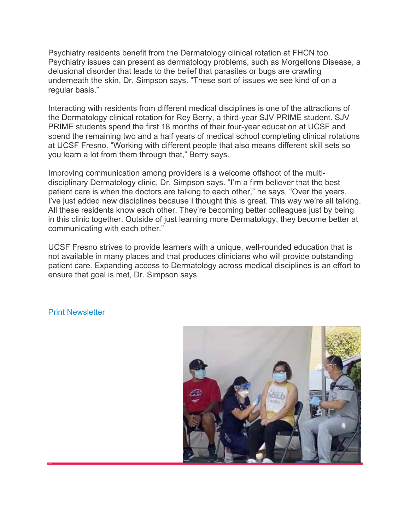Psychiatry residents benefit from the Dermatology clinical rotation at FHCN too. Psychiatry issues can present as dermatology problems, such as Morgellons Disease, a delusional disorder that leads to the belief that parasites or bugs are crawling underneath the skin, Dr. Simpson says. "These sort of issues we see kind of on a regular basis."

Interacting with residents from different medical disciplines is one of the attractions of the Dermatology clinical rotation for Rey Berry, a third-year SJV PRIME student. SJV PRIME students spend the first 18 months of their four-year education at UCSF and spend the remaining two and a half years of medical school completing clinical rotations at UCSF Fresno. "Working with different people that also means different skill sets so you learn a lot from them through that," Berry says.

Improving communication among providers is a welcome offshoot of the multidisciplinary Dermatology clinic, Dr. Simpson says. "I'm a firm believer that the best patient care is when the doctors are talking to each other," he says. "Over the years, I've just added new disciplines because I thought this is great. This way we're all talking. All these residents know each other. They're becoming better colleagues just by being in this clinic together. Outside of just learning more Dermatology, they become better at communicating with each other."

UCSF Fresno strives to provide learners with a unique, well-rounded education that is not available in many places and that produces clinicians who will provide outstanding patient care. Expanding access to Dermatology across medical disciplines is an effort to ensure that goal is met, Dr. Simpson says.

#### Print Newsletter

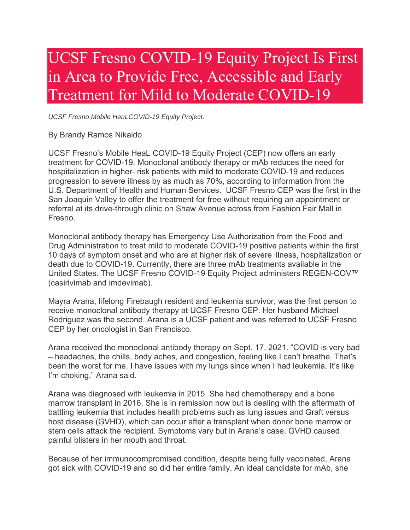## UCSF Fresno COVID-19 Equity Project Is First in Area to Provide Free, Accessible and Early Treatment for Mild to Moderate COVID-19

*UCSF Fresno Mobile HeaLCOVID-19 Equity Project.*

By Brandy Ramos Nikaido

UCSF Fresno's Mobile HeaL COVID-19 Equity Project (CEP) now offers an early treatment for COVID-19. Monoclonal antibody therapy or mAb reduces the need for hospitalization in higher- risk patients with mild to moderate COVID-19 and reduces progression to severe illness by as much as 70%, according to information from the U.S. Department of Health and Human Services. UCSF Fresno CEP was the first in the San Joaquin Valley to offer the treatment for free without requiring an appointment or referral at its drive-through clinic on Shaw Avenue across from Fashion Fair Mall in Fresno.

Monoclonal antibody therapy has Emergency Use Authorization from the Food and Drug Administration to treat mild to moderate COVID-19 positive patients within the first 10 days of symptom onset and who are at higher risk of severe illness, hospitalization or death due to COVID-19. Currently, there are three mAb treatments available in the United States. The UCSF Fresno COVID-19 Equity Project administers REGEN-COV™ (casirivimab and imdevimab).

Mayra Arana, lifelong Firebaugh resident and leukemia survivor, was the first person to receive monoclonal antibody therapy at UCSF Fresno CEP. Her husband Michael Rodriguez was the second. Arana is a UCSF patient and was referred to UCSF Fresno CEP by her oncologist in San Francisco.

Arana received the monoclonal antibody therapy on Sept. 17, 2021. "COVID is very bad – headaches, the chills, body aches, and congestion, feeling like I can't breathe. That's been the worst for me. I have issues with my lungs since when I had leukemia. It's like I'm choking," Arana said.

Arana was diagnosed with leukemia in 2015. She had chemotherapy and a bone marrow transplant in 2016. She is in remission now but is dealing with the aftermath of battling leukemia that includes health problems such as lung issues and Graft versus host disease (GVHD), which can occur after a transplant when donor bone marrow or stem cells attack the recipient. Symptoms vary but in Arana's case, GVHD caused painful blisters in her mouth and throat.

Because of her immunocompromised condition, despite being fully vaccinated, Arana got sick with COVID-19 and so did her entire family. An ideal candidate for mAb, she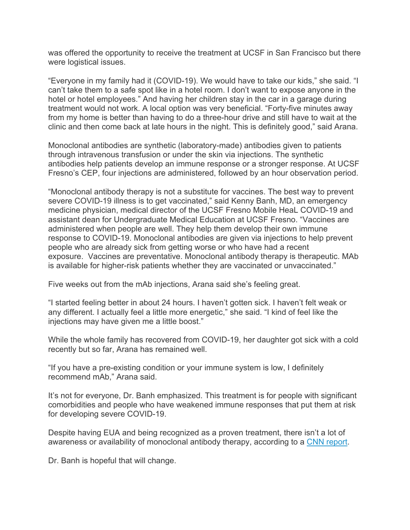was offered the opportunity to receive the treatment at UCSF in San Francisco but there were logistical issues.

"Everyone in my family had it (COVID-19). We would have to take our kids," she said. "I can't take them to a safe spot like in a hotel room. I don't want to expose anyone in the hotel or hotel employees." And having her children stay in the car in a garage during treatment would not work. A local option was very beneficial. "Forty-five minutes away from my home is better than having to do a three-hour drive and still have to wait at the clinic and then come back at late hours in the night. This is definitely good," said Arana.

Monoclonal antibodies are synthetic (laboratory-made) antibodies given to patients through intravenous transfusion or under the skin via injections. The synthetic antibodies help patients develop an immune response or a stronger response. At UCSF Fresno's CEP, four injections are administered, followed by an hour observation period.

"Monoclonal antibody therapy is not a substitute for vaccines. The best way to prevent severe COVID-19 illness is to get vaccinated," said Kenny Banh, MD, an emergency medicine physician, medical director of the UCSF Fresno Mobile HeaL COVID-19 and assistant dean for Undergraduate Medical Education at UCSF Fresno. "Vaccines are administered when people are well. They help them develop their own immune response to COVID-19. Monoclonal antibodies are given via injections to help prevent people who are already sick from getting worse or who have had a recent exposure. Vaccines are preventative. Monoclonal antibody therapy is therapeutic. MAb is available for higher-risk patients whether they are vaccinated or unvaccinated."

Five weeks out from the mAb injections, Arana said she's feeling great.

"I started feeling better in about 24 hours. I haven't gotten sick. I haven't felt weak or any different. I actually feel a little more energetic," she said. "I kind of feel like the injections may have given me a little boost."

While the whole family has recovered from COVID-19, her daughter got sick with a cold recently but so far, Arana has remained well.

"If you have a pre-existing condition or your immune system is low, I definitely recommend mAb," Arana said.

It's not for everyone, Dr. Banh emphasized. This treatment is for people with significant comorbidities and people who have weakened immune responses that put them at risk for developing severe COVID-19.

Despite having EUA and being recognized as a proven treatment, there isn't a lot of awareness or availability of monoclonal antibody therapy, according to a CNN report.

Dr. Banh is hopeful that will change.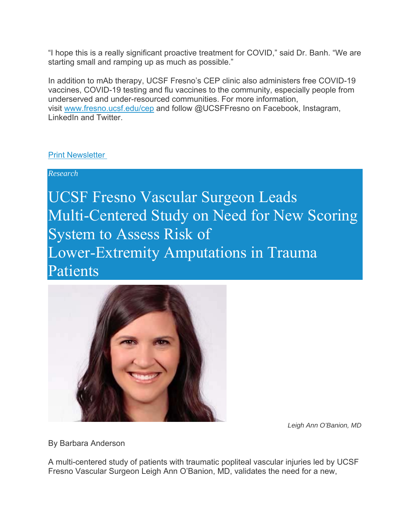"I hope this is a really significant proactive treatment for COVID," said Dr. Banh. "We are starting small and ramping up as much as possible."

In addition to mAb therapy, UCSF Fresno's CEP clinic also administers free COVID-19 vaccines, COVID-19 testing and flu vaccines to the community, especially people from underserved and under-resourced communities. For more information, visit www.fresno.ucsf.edu/cep and follow @UCSFFresno on Facebook, Instagram, LinkedIn and Twitter.

#### Print Newsletter

*Research*

UCSF Fresno Vascular Surgeon Leads Multi-Centered Study on Need for New Scoring System to Assess Risk of Lower-Extremity Amputations in Trauma Patients



*Leigh Ann O'Banion, MD*

By Barbara Anderson

A multi-centered study of patients with traumatic popliteal vascular injuries led by UCSF Fresno Vascular Surgeon Leigh Ann O'Banion, MD, validates the need for a new,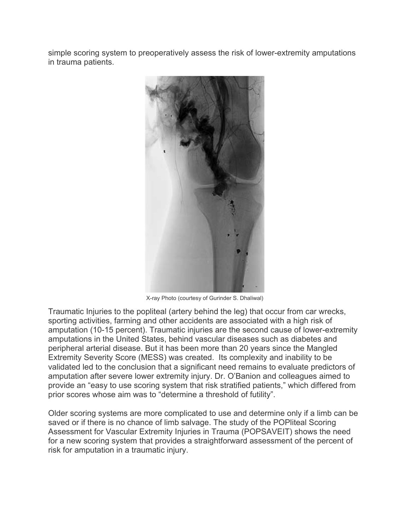simple scoring system to preoperatively assess the risk of lower-extremity amputations in trauma patients.



X-ray Photo (courtesy of Gurinder S. Dhaliwal)

Traumatic Injuries to the popliteal (artery behind the leg) that occur from car wrecks, sporting activities, farming and other accidents are associated with a high risk of amputation (10-15 percent). Traumatic injuries are the second cause of lower-extremity amputations in the United States, behind vascular diseases such as diabetes and peripheral arterial disease. But it has been more than 20 years since the Mangled Extremity Severity Score (MESS) was created. Its complexity and inability to be validated led to the conclusion that a significant need remains to evaluate predictors of amputation after severe lower extremity injury. Dr. O'Banion and colleagues aimed to provide an "easy to use scoring system that risk stratified patients," which differed from prior scores whose aim was to "determine a threshold of futility".

Older scoring systems are more complicated to use and determine only if a limb can be saved or if there is no chance of limb salvage. The study of the POPliteal Scoring Assessment for Vascular Extremity Injuries in Trauma (POPSAVEIT) shows the need for a new scoring system that provides a straightforward assessment of the percent of risk for amputation in a traumatic injury.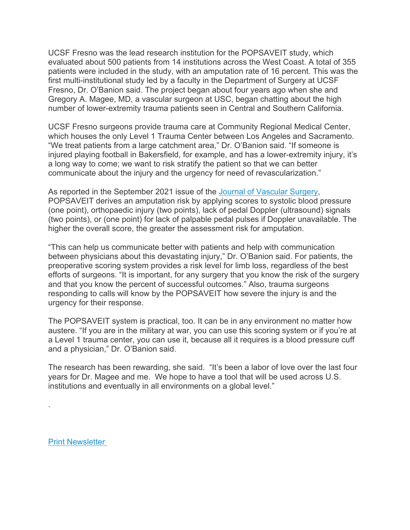UCSF Fresno was the lead research institution for the POPSAVEIT study, which evaluated about 500 patients from 14 institutions across the West Coast. A total of 355 patients were included in the study, with an amputation rate of 16 percent. This was the first multi-institutional study led by a faculty in the Department of Surgery at UCSF Fresno, Dr. O'Banion said. The project began about four years ago when she and Gregory A. Magee, MD, a vascular surgeon at USC, began chatting about the high number of lower-extremity trauma patients seen in Central and Southern California.

UCSF Fresno surgeons provide trauma care at Community Regional Medical Center, which houses the only Level 1 Trauma Center between Los Angeles and Sacramento. "We treat patients from a large catchment area," Dr. O'Banion said. "If someone is injured playing football in Bakersfield, for example, and has a lower-extremity injury, it's a long way to come; we want to risk stratify the patient so that we can better communicate about the injury and the urgency for need of revascularization."

As reported in the September 2021 issue of the Journal of Vascular Surgery, POPSAVEIT derives an amputation risk by applying scores to systolic blood pressure (one point), orthopaedic injury (two points), lack of pedal Doppler (ultrasound) signals (two points), or (one point) for lack of palpable pedal pulses if Doppler unavailable. The higher the overall score, the greater the assessment risk for amputation.

"This can help us communicate better with patients and help with communication between physicians about this devastating injury," Dr. O'Banion said. For patients, the preoperative scoring system provides a risk level for limb loss, regardless of the best efforts of surgeons. "It is important, for any surgery that you know the risk of the surgery and that you know the percent of successful outcomes." Also, trauma surgeons responding to calls will know by the POPSAVEIT how severe the injury is and the urgency for their response.

The POPSAVEIT system is practical, too. It can be in any environment no matter how austere. "If you are in the military at war, you can use this scoring system or if you're at a Level 1 trauma center, you can use it, because all it requires is a blood pressure cuff and a physician," Dr. O'Banion said.

The research has been rewarding, she said. "It's been a labor of love over the last four years for Dr. Magee and me. We hope to have a tool that will be used across U.S. institutions and eventually in all environments on a global level."

Print Newsletter

.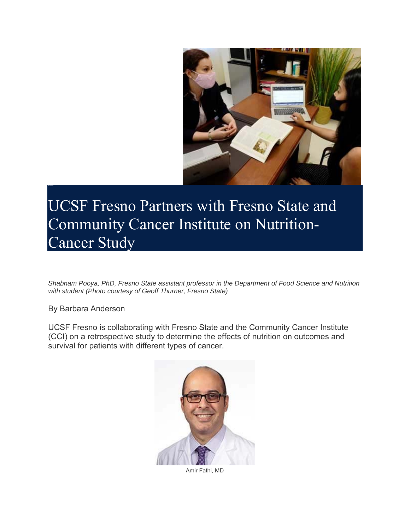

UCSF Fresno Partners with Fresno State and Community Cancer Institute on Nutrition-Cancer Study

*Shabnam Pooya, PhD, Fresno State assistant professor in the Department of Food Science and Nutrition with student (Photo courtesy of Geoff Thurner, Fresno State)*

By Barbara Anderson

UCSF Fresno is collaborating with Fresno State and the Community Cancer Institute (CCI) on a retrospective study to determine the effects of nutrition on outcomes and survival for patients with different types of cancer.



Amir Fathi, MD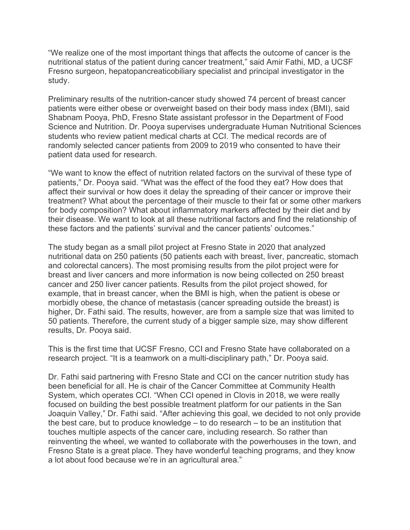"We realize one of the most important things that affects the outcome of cancer is the nutritional status of the patient during cancer treatment," said Amir Fathi, MD, a UCSF Fresno surgeon, hepatopancreaticobiliary specialist and principal investigator in the study.

Preliminary results of the nutrition-cancer study showed 74 percent of breast cancer patients were either obese or overweight based on their body mass index (BMI), said Shabnam Pooya, PhD, Fresno State assistant professor in the Department of Food Science and Nutrition. Dr. Pooya supervises undergraduate Human Nutritional Sciences students who review patient medical charts at CCI. The medical records are of randomly selected cancer patients from 2009 to 2019 who consented to have their patient data used for research.

"We want to know the effect of nutrition related factors on the survival of these type of patients," Dr. Pooya said. "What was the effect of the food they eat? How does that affect their survival or how does it delay the spreading of their cancer or improve their treatment? What about the percentage of their muscle to their fat or some other markers for body composition? What about inflammatory markers affected by their diet and by their disease. We want to look at all these nutritional factors and find the relationship of these factors and the patients' survival and the cancer patients' outcomes."

The study began as a small pilot project at Fresno State in 2020 that analyzed nutritional data on 250 patients (50 patients each with breast, liver, pancreatic, stomach and colorectal cancers). The most promising results from the pilot project were for breast and liver cancers and more information is now being collected on 250 breast cancer and 250 liver cancer patients. Results from the pilot project showed, for example, that in breast cancer, when the BMI is high, when the patient is obese or morbidly obese, the chance of metastasis (cancer spreading outside the breast) is higher, Dr. Fathi said. The results, however, are from a sample size that was limited to 50 patients. Therefore, the current study of a bigger sample size, may show different results, Dr. Pooya said.

This is the first time that UCSF Fresno, CCI and Fresno State have collaborated on a research project. "It is a teamwork on a multi-disciplinary path," Dr. Pooya said.

Dr. Fathi said partnering with Fresno State and CCI on the cancer nutrition study has been beneficial for all. He is chair of the Cancer Committee at Community Health System, which operates CCI. "When CCI opened in Clovis in 2018, we were really focused on building the best possible treatment platform for our patients in the San Joaquin Valley," Dr. Fathi said. "After achieving this goal, we decided to not only provide the best care, but to produce knowledge – to do research – to be an institution that touches multiple aspects of the cancer care, including research. So rather than reinventing the wheel, we wanted to collaborate with the powerhouses in the town, and Fresno State is a great place. They have wonderful teaching programs, and they know a lot about food because we're in an agricultural area."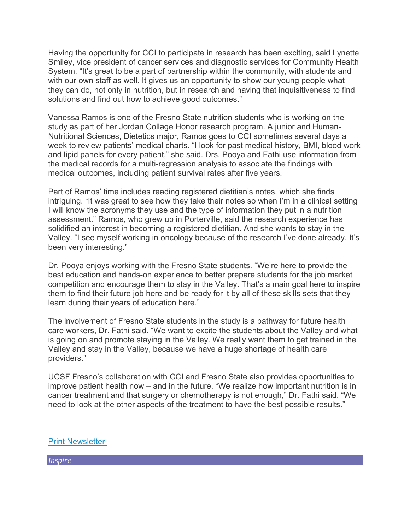Having the opportunity for CCI to participate in research has been exciting, said Lynette Smiley, vice president of cancer services and diagnostic services for Community Health System. "It's great to be a part of partnership within the community, with students and with our own staff as well. It gives us an opportunity to show our young people what they can do, not only in nutrition, but in research and having that inquisitiveness to find solutions and find out how to achieve good outcomes."

Vanessa Ramos is one of the Fresno State nutrition students who is working on the study as part of her Jordan Collage Honor research program. A junior and Human-Nutritional Sciences, Dietetics major, Ramos goes to CCI sometimes several days a week to review patients' medical charts. "I look for past medical history, BMI, blood work and lipid panels for every patient," she said. Drs. Pooya and Fathi use information from the medical records for a multi-regression analysis to associate the findings with medical outcomes, including patient survival rates after five years.

Part of Ramos' time includes reading registered dietitian's notes, which she finds intriguing. "It was great to see how they take their notes so when I'm in a clinical setting I will know the acronyms they use and the type of information they put in a nutrition assessment." Ramos, who grew up in Porterville, said the research experience has solidified an interest in becoming a registered dietitian. And she wants to stay in the Valley. "I see myself working in oncology because of the research I've done already. It's been very interesting."

Dr. Pooya enjoys working with the Fresno State students. "We're here to provide the best education and hands-on experience to better prepare students for the job market competition and encourage them to stay in the Valley. That's a main goal here to inspire them to find their future job here and be ready for it by all of these skills sets that they learn during their years of education here."

The involvement of Fresno State students in the study is a pathway for future health care workers, Dr. Fathi said. "We want to excite the students about the Valley and what is going on and promote staying in the Valley. We really want them to get trained in the Valley and stay in the Valley, because we have a huge shortage of health care providers."

UCSF Fresno's collaboration with CCI and Fresno State also provides opportunities to improve patient health now – and in the future. "We realize how important nutrition is in cancer treatment and that surgery or chemotherapy is not enough," Dr. Fathi said. "We need to look at the other aspects of the treatment to have the best possible results."

**Print Newsletter** 

*Inspire*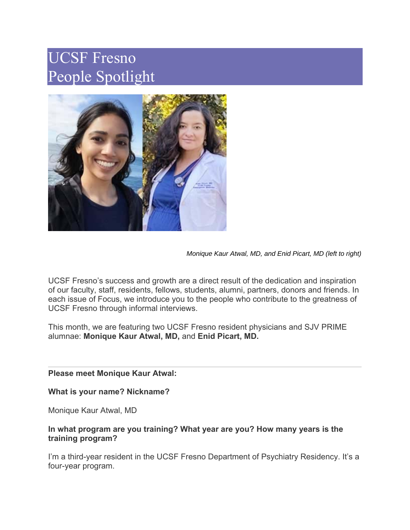# UCSF Fresno People Spotlight



*Monique Kaur Atwal, MD, and Enid Picart, MD (left to right)*

UCSF Fresno's success and growth are a direct result of the dedication and inspiration of our faculty, staff, residents, fellows, students, alumni, partners, donors and friends. In each issue of Focus, we introduce you to the people who contribute to the greatness of UCSF Fresno through informal interviews.

This month, we are featuring two UCSF Fresno resident physicians and SJV PRIME alumnae: **Monique Kaur Atwal, MD,** and **Enid Picart, MD.** 

#### **Please meet Monique Kaur Atwal:**

#### **What is your name? Nickname?**

Monique Kaur Atwal, MD

#### **In what program are you training? What year are you? How many years is the training program?**

I'm a third-year resident in the UCSF Fresno Department of Psychiatry Residency. It's a four-year program.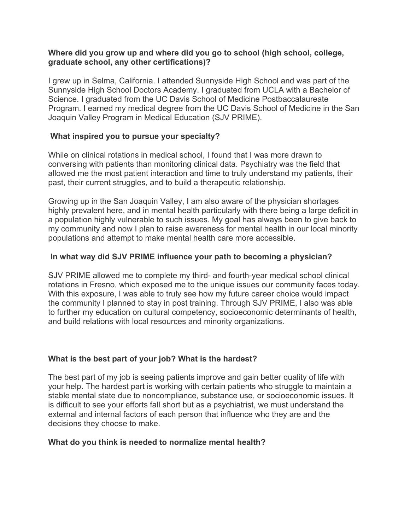#### **Where did you grow up and where did you go to school (high school, college, graduate school, any other certifications)?**

I grew up in Selma, California. I attended Sunnyside High School and was part of the Sunnyside High School Doctors Academy. I graduated from UCLA with a Bachelor of Science. I graduated from the UC Davis School of Medicine Postbaccalaureate Program. I earned my medical degree from the UC Davis School of Medicine in the San Joaquin Valley Program in Medical Education (SJV PRIME).

#### **What inspired you to pursue your specialty?**

While on clinical rotations in medical school, I found that I was more drawn to conversing with patients than monitoring clinical data. Psychiatry was the field that allowed me the most patient interaction and time to truly understand my patients, their past, their current struggles, and to build a therapeutic relationship.

Growing up in the San Joaquin Valley, I am also aware of the physician shortages highly prevalent here, and in mental health particularly with there being a large deficit in a population highly vulnerable to such issues. My goal has always been to give back to my community and now I plan to raise awareness for mental health in our local minority populations and attempt to make mental health care more accessible.

#### **In what way did SJV PRIME influence your path to becoming a physician?**

SJV PRIME allowed me to complete my third- and fourth-year medical school clinical rotations in Fresno, which exposed me to the unique issues our community faces today. With this exposure, I was able to truly see how my future career choice would impact the community I planned to stay in post training. Through SJV PRIME, I also was able to further my education on cultural competency, socioeconomic determinants of health, and build relations with local resources and minority organizations.

### **What is the best part of your job? What is the hardest?**

The best part of my job is seeing patients improve and gain better quality of life with your help. The hardest part is working with certain patients who struggle to maintain a stable mental state due to noncompliance, substance use, or socioeconomic issues. It is difficult to see your efforts fall short but as a psychiatrist, we must understand the external and internal factors of each person that influence who they are and the decisions they choose to make.

#### **What do you think is needed to normalize mental health?**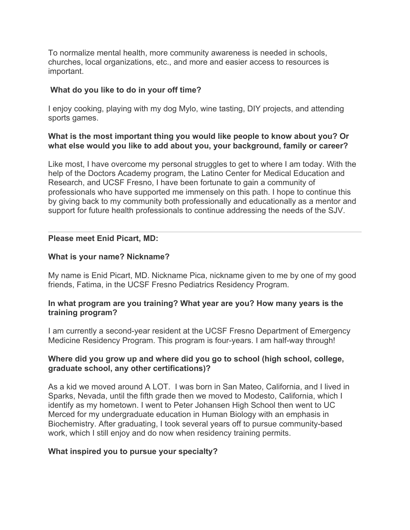To normalize mental health, more community awareness is needed in schools, churches, local organizations, etc., and more and easier access to resources is important.

#### **What do you like to do in your off time?**

I enjoy cooking, playing with my dog Mylo, wine tasting, DIY projects, and attending sports games.

#### **What is the most important thing you would like people to know about you? Or what else would you like to add about you, your background, family or career?**

Like most, I have overcome my personal struggles to get to where I am today. With the help of the Doctors Academy program, the Latino Center for Medical Education and Research, and UCSF Fresno, I have been fortunate to gain a community of professionals who have supported me immensely on this path. I hope to continue this by giving back to my community both professionally and educationally as a mentor and support for future health professionals to continue addressing the needs of the SJV.

#### **Please meet Enid Picart, MD:**

#### **What is your name? Nickname?**

My name is Enid Picart, MD. Nickname Pica, nickname given to me by one of my good friends, Fatima, in the UCSF Fresno Pediatrics Residency Program.

#### **In what program are you training? What year are you? How many years is the training program?**

I am currently a second-year resident at the UCSF Fresno Department of Emergency Medicine Residency Program. This program is four-years. I am half-way through!

#### **Where did you grow up and where did you go to school (high school, college, graduate school, any other certifications)?**

As a kid we moved around A LOT. I was born in San Mateo, California, and I lived in Sparks, Nevada, until the fifth grade then we moved to Modesto, California, which I identify as my hometown. I went to Peter Johansen High School then went to UC Merced for my undergraduate education in Human Biology with an emphasis in Biochemistry. After graduating, I took several years off to pursue community-based work, which I still enjoy and do now when residency training permits.

#### **What inspired you to pursue your specialty?**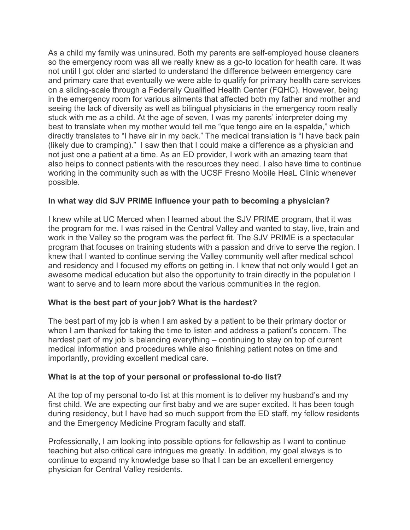As a child my family was uninsured. Both my parents are self-employed house cleaners so the emergency room was all we really knew as a go-to location for health care. It was not until I got older and started to understand the difference between emergency care and primary care that eventually we were able to qualify for primary health care services on a sliding-scale through a Federally Qualified Health Center (FQHC). However, being in the emergency room for various ailments that affected both my father and mother and seeing the lack of diversity as well as bilingual physicians in the emergency room really stuck with me as a child. At the age of seven, I was my parents' interpreter doing my best to translate when my mother would tell me "que tengo aire en la espalda," which directly translates to "I have air in my back." The medical translation is "I have back pain (likely due to cramping)." I saw then that I could make a difference as a physician and not just one a patient at a time. As an ED provider, I work with an amazing team that also helps to connect patients with the resources they need. I also have time to continue working in the community such as with the UCSF Fresno Mobile HeaL Clinic whenever possible.

#### **In what way did SJV PRIME influence your path to becoming a physician?**

I knew while at UC Merced when I learned about the SJV PRIME program, that it was the program for me. I was raised in the Central Valley and wanted to stay, live, train and work in the Valley so the program was the perfect fit. The SJV PRIME is a spectacular program that focuses on training students with a passion and drive to serve the region. I knew that I wanted to continue serving the Valley community well after medical school and residency and I focused my efforts on getting in. I knew that not only would I get an awesome medical education but also the opportunity to train directly in the population I want to serve and to learn more about the various communities in the region.

#### **What is the best part of your job? What is the hardest?**

The best part of my job is when I am asked by a patient to be their primary doctor or when I am thanked for taking the time to listen and address a patient's concern. The hardest part of my job is balancing everything – continuing to stay on top of current medical information and procedures while also finishing patient notes on time and importantly, providing excellent medical care.

#### **What is at the top of your personal or professional to-do list?**

At the top of my personal to-do list at this moment is to deliver my husband's and my first child. We are expecting our first baby and we are super excited. It has been tough during residency, but I have had so much support from the ED staff, my fellow residents and the Emergency Medicine Program faculty and staff.

Professionally, I am looking into possible options for fellowship as I want to continue teaching but also critical care intrigues me greatly. In addition, my goal always is to continue to expand my knowledge base so that I can be an excellent emergency physician for Central Valley residents.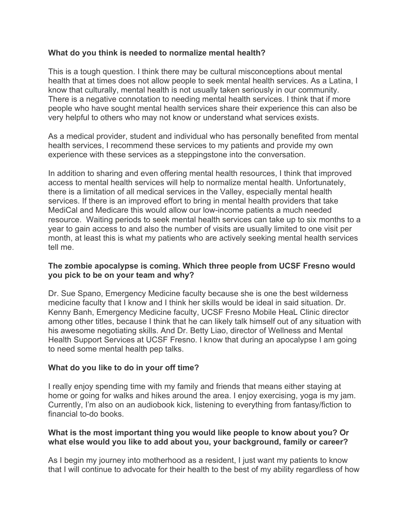#### **What do you think is needed to normalize mental health?**

This is a tough question. I think there may be cultural misconceptions about mental health that at times does not allow people to seek mental health services. As a Latina, I know that culturally, mental health is not usually taken seriously in our community. There is a negative connotation to needing mental health services. I think that if more people who have sought mental health services share their experience this can also be very helpful to others who may not know or understand what services exists.

As a medical provider, student and individual who has personally benefited from mental health services, I recommend these services to my patients and provide my own experience with these services as a steppingstone into the conversation.

In addition to sharing and even offering mental health resources, I think that improved access to mental health services will help to normalize mental health. Unfortunately, there is a limitation of all medical services in the Valley, especially mental health services. If there is an improved effort to bring in mental health providers that take MediCal and Medicare this would allow our low-income patients a much needed resource. Waiting periods to seek mental health services can take up to six months to a year to gain access to and also the number of visits are usually limited to one visit per month, at least this is what my patients who are actively seeking mental health services tell me.

#### **The zombie apocalypse is coming. Which three people from UCSF Fresno would you pick to be on your team and why?**

Dr. Sue Spano, Emergency Medicine faculty because she is one the best wilderness medicine faculty that I know and I think her skills would be ideal in said situation. Dr. Kenny Banh, Emergency Medicine faculty, UCSF Fresno Mobile HeaL Clinic director among other titles, because I think that he can likely talk himself out of any situation with his awesome negotiating skills. And Dr. Betty Liao, director of Wellness and Mental Health Support Services at UCSF Fresno. I know that during an apocalypse I am going to need some mental health pep talks.

#### **What do you like to do in your off time?**

I really enjoy spending time with my family and friends that means either staying at home or going for walks and hikes around the area. I enjoy exercising, yoga is my jam. Currently, I'm also on an audiobook kick, listening to everything from fantasy/fiction to financial to-do books.

#### **What is the most important thing you would like people to know about you? Or what else would you like to add about you, your background, family or career?**

As I begin my journey into motherhood as a resident, I just want my patients to know that I will continue to advocate for their health to the best of my ability regardless of how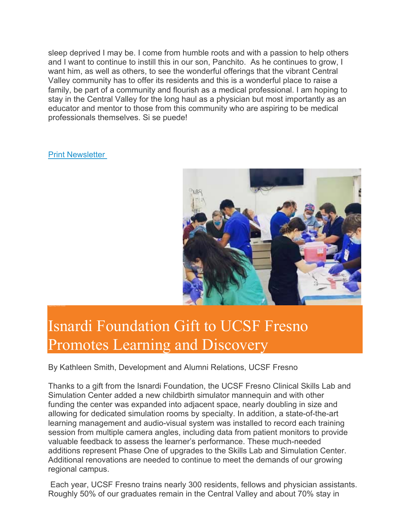sleep deprived I may be. I come from humble roots and with a passion to help others and I want to continue to instill this in our son, Panchito. As he continues to grow, I want him, as well as others, to see the wonderful offerings that the vibrant Central Valley community has to offer its residents and this is a wonderful place to raise a family, be part of a community and flourish as a medical professional. I am hoping to stay in the Central Valley for the long haul as a physician but most importantly as an educator and mentor to those from this community who are aspiring to be medical professionals themselves. Si se puede!

Print Newsletter



## Isnardi Foundation Gift to UCSF Fresno Promotes Learning and Discovery

By Kathleen Smith, Development and Alumni Relations, UCSF Fresno

Thanks to a gift from the Isnardi Foundation, the UCSF Fresno Clinical Skills Lab and Simulation Center added a new childbirth simulator mannequin and with other funding the center was expanded into adjacent space, nearly doubling in size and allowing for dedicated simulation rooms by specialty. In addition, a state-of-the-art learning management and audio-visual system was installed to record each training session from multiple camera angles, including data from patient monitors to provide valuable feedback to assess the learner's performance. These much-needed additions represent Phase One of upgrades to the Skills Lab and Simulation Center. Additional renovations are needed to continue to meet the demands of our growing regional campus.

 Each year, UCSF Fresno trains nearly 300 residents, fellows and physician assistants. Roughly 50% of our graduates remain in the Central Valley and about 70% stay in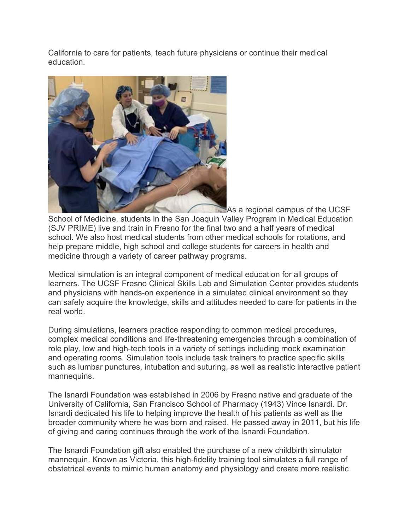California to care for patients, teach future physicians or continue their medical education.



As a regional campus of the UCSF School of Medicine, students in the San Joaquin Valley Program in Medical Education (SJV PRIME) live and train in Fresno for the final two and a half years of medical school. We also host medical students from other medical schools for rotations, and help prepare middle, high school and college students for careers in health and medicine through a variety of career pathway programs.

Medical simulation is an integral component of medical education for all groups of learners. The UCSF Fresno Clinical Skills Lab and Simulation Center provides students and physicians with hands-on experience in a simulated clinical environment so they can safely acquire the knowledge, skills and attitudes needed to care for patients in the real world.

During simulations, learners practice responding to common medical procedures, complex medical conditions and life-threatening emergencies through a combination of role play, low and high-tech tools in a variety of settings including mock examination and operating rooms. Simulation tools include task trainers to practice specific skills such as lumbar punctures, intubation and suturing, as well as realistic interactive patient mannequins.

The Isnardi Foundation was established in 2006 by Fresno native and graduate of the University of California, San Francisco School of Pharmacy (1943) Vince Isnardi. Dr. Isnardi dedicated his life to helping improve the health of his patients as well as the broader community where he was born and raised. He passed away in 2011, but his life of giving and caring continues through the work of the Isnardi Foundation.

The Isnardi Foundation gift also enabled the purchase of a new childbirth simulator mannequin. Known as Victoria, this high-fidelity training tool simulates a full range of obstetrical events to mimic human anatomy and physiology and create more realistic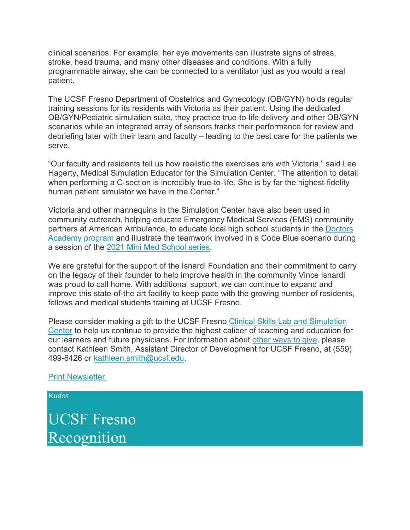clinical scenarios. For example, her eye movements can illustrate signs of stress, stroke, head trauma, and many other diseases and conditions. With a fully programmable airway, she can be connected to a ventilator just as you would a real patient.

The UCSF Fresno Department of Obstetrics and Gynecology (OB/GYN) holds regular training sessions for its residents with Victoria as their patient. Using the dedicated OB/GYN/Pediatric simulation suite, they practice true-to-life delivery and other OB/GYN scenarios while an integrated array of sensors tracks their performance for review and debriefing later with their team and faculty – leading to the best care for the patients we serve.

"Our faculty and residents tell us how realistic the exercises are with Victoria," said Lee Hagerty, Medical Simulation Educator for the Simulation Center. "The attention to detail when performing a C-section is incredibly true-to-life. She is by far the highest-fidelity human patient simulator we have in the Center."

Victoria and other mannequins in the Simulation Center have also been used in community outreach, helping educate Emergency Medical Services (EMS) community partners at American Ambulance, to educate local high school students in the Doctors Academy program and illustrate the teamwork involved in a Code Blue scenario during a session of the 2021 Mini Med School series.

We are grateful for the support of the Isnardi Foundation and their commitment to carry on the legacy of their founder to help improve health in the community Vince Isnardi was proud to call home. With additional support, we can continue to expand and improve this state-of-the art facility to keep pace with the growing number of residents, fellows and medical students training at UCSF Fresno.

Please consider making a gift to the UCSF Fresno Clinical Skills Lab and Simulation Center to help us continue to provide the highest caliber of teaching and education for our learners and future physicians. For information about other ways to give, please contact Kathleen Smith, Assistant Director of Development for UCSF Fresno, at (559) 499-6426 or kathleen.smith@ucsf.edu.

Print Newsletter

*Kudos*

UCSF Fresno Recognition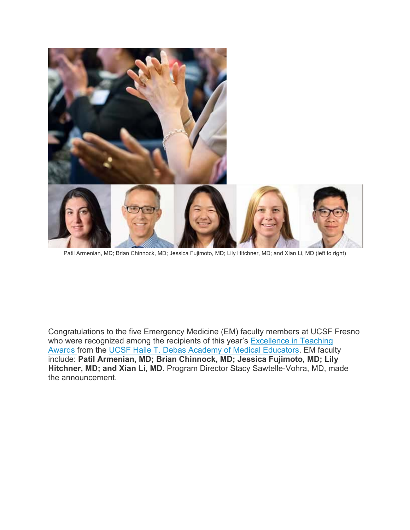

Patil Armenian, MD; Brian Chinnock, MD; Jessica Fujimoto, MD; Lily Hitchner, MD; and Xian Li, MD (left to right)

Congratulations to the five Emergency Medicine (EM) faculty members at UCSF Fresno who were recognized among the recipients of this year's **Excellence in Teaching** Awards from the UCSF Haile T. Debas Academy of Medical Educators. EM faculty include: **Patil Armenian, MD; Brian Chinnock, MD; Jessica Fujimoto, MD; Lily Hitchner, MD; and Xian Li, MD.** Program Director Stacy Sawtelle-Vohra, MD, made the announcement.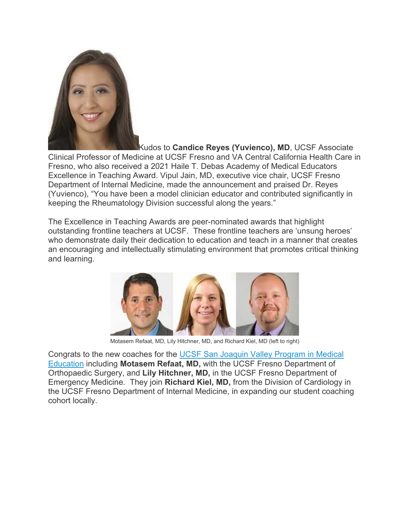

Kudos to **Candice Reyes (Yuvienco), MD**, UCSF Associate Clinical Professor of Medicine at UCSF Fresno and VA Central California Health Care in Fresno, who also received a 2021 Haile T. Debas Academy of Medical Educators Excellence in Teaching Award. Vipul Jain, MD, executive vice chair, UCSF Fresno Department of Internal Medicine, made the announcement and praised Dr. Reyes (Yuvienco), "You have been a model clinician educator and contributed significantly in keeping the Rheumatology Division successful along the years."

The Excellence in Teaching Awards are peer-nominated awards that highlight outstanding frontline teachers at UCSF. These frontline teachers are 'unsung heroes' who demonstrate daily their dedication to education and teach in a manner that creates an encouraging and intellectually stimulating environment that promotes critical thinking and learning.



Motasem Refaat, MD, Lily Hitchner, MD, and Richard Kiel, MD (left to right)

Congrats to the new coaches for the UCSF San Joaquin Valley Program in Medical Education including **Motasem Refaat, MD,** with the UCSF Fresno Department of Orthopaedic Surgery, and **Lily Hitchner, MD,** in the UCSF Fresno Department of Emergency Medicine. They join **Richard Kiel, MD,** from the Division of Cardiology in the UCSF Fresno Department of Internal Medicine, in expanding our student coaching cohort locally.